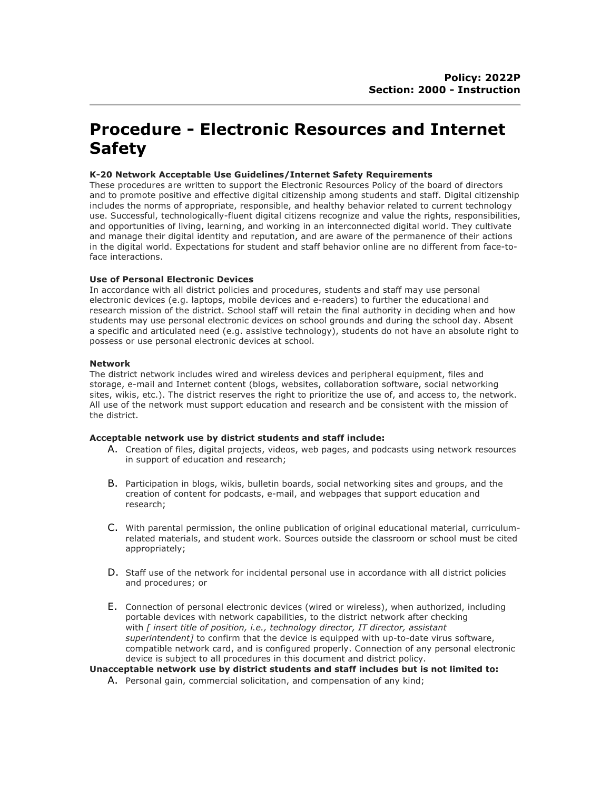# **Procedure - Electronic Resources and Internet Safety**

## **K-20 Network Acceptable Use Guidelines/Internet Safety Requirements**

These procedures are written to support the Electronic Resources Policy of the board of directors and to promote positive and effective digital citizenship among students and staff. Digital citizenship includes the norms of appropriate, responsible, and healthy behavior related to current technology use. Successful, technologically-fluent digital citizens recognize and value the rights, responsibilities, and opportunities of living, learning, and working in an interconnected digital world. They cultivate and manage their digital identity and reputation, and are aware of the permanence of their actions in the digital world. Expectations for student and staff behavior online are no different from face-toface interactions.

# **Use of Personal Electronic Devices**

In accordance with all district policies and procedures, students and staff may use personal electronic devices (e.g. laptops, mobile devices and e-readers) to further the educational and research mission of the district. School staff will retain the final authority in deciding when and how students may use personal electronic devices on school grounds and during the school day. Absent a specific and articulated need (e.g. assistive technology), students do not have an absolute right to possess or use personal electronic devices at school.

## **Network**

The district network includes wired and wireless devices and peripheral equipment, files and storage, e-mail and Internet content (blogs, websites, collaboration software, social networking sites, wikis, etc.). The district reserves the right to prioritize the use of, and access to, the network. All use of the network must support education and research and be consistent with the mission of the district.

## **Acceptable network use by district students and staff include:**

- A. Creation of files, digital projects, videos, web pages, and podcasts using network resources in support of education and research;
- B. Participation in blogs, wikis, bulletin boards, social networking sites and groups, and the creation of content for podcasts, e-mail, and webpages that support education and research;
- C. With parental permission, the online publication of original educational material, curriculumrelated materials, and student work. Sources outside the classroom or school must be cited appropriately;
- D. Staff use of the network for incidental personal use in accordance with all district policies and procedures; or
- E. Connection of personal electronic devices (wired or wireless), when authorized, including portable devices with network capabilities, to the district network after checking with *[ insert title of position, i.e., technology director, IT director, assistant superintendent]* to confirm that the device is equipped with up-to-date virus software, compatible network card, and is configured properly. Connection of any personal electronic device is subject to all procedures in this document and district policy.

**Unacceptable network use by district students and staff includes but is not limited to:**

A. Personal gain, commercial solicitation, and compensation of any kind;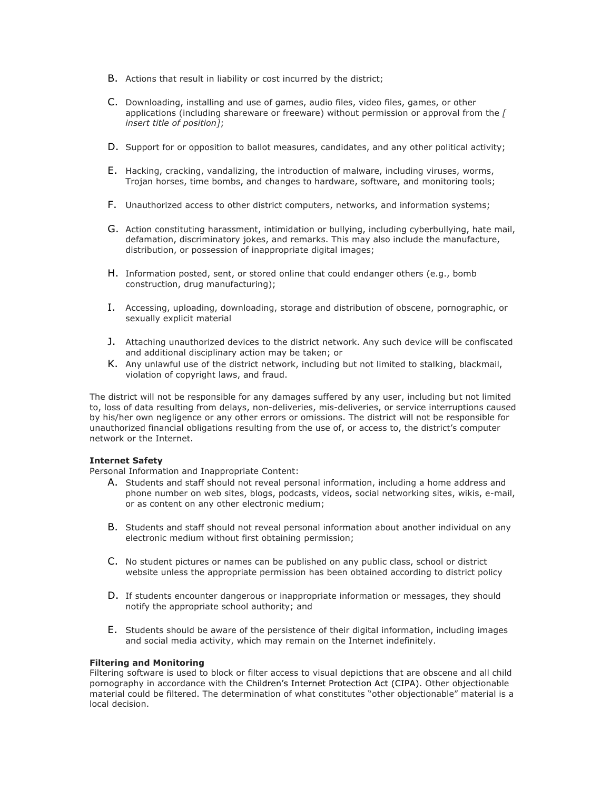- B. Actions that result in liability or cost incurred by the district;
- C. Downloading, installing and use of games, audio files, video files, games, or other applications (including shareware or freeware) without permission or approval from the *[ insert title of position]*;
- D. Support for or opposition to ballot measures, candidates, and any other political activity;
- E. Hacking, cracking, vandalizing, the introduction of malware, including viruses, worms, Trojan horses, time bombs, and changes to hardware, software, and monitoring tools;
- F. Unauthorized access to other district computers, networks, and information systems;
- G. Action constituting harassment, intimidation or bullying, including cyberbullying, hate mail, defamation, discriminatory jokes, and remarks. This may also include the manufacture, distribution, or possession of inappropriate digital images;
- H. Information posted, sent, or stored online that could endanger others (e.g., bomb construction, drug manufacturing);
- I. Accessing, uploading, downloading, storage and distribution of obscene, pornographic, or sexually explicit material
- J. Attaching unauthorized devices to the district network. Any such device will be confiscated and additional disciplinary action may be taken; or
- K. Any unlawful use of the district network, including but not limited to stalking, blackmail, violation of copyright laws, and fraud.

The district will not be responsible for any damages suffered by any user, including but not limited to, loss of data resulting from delays, non-deliveries, mis-deliveries, or service interruptions caused by his/her own negligence or any other errors or omissions. The district will not be responsible for unauthorized financial obligations resulting from the use of, or access to, the district's computer network or the Internet.

## **Internet Safety**

Personal Information and Inappropriate Content:

- A. Students and staff should not reveal personal information, including a home address and phone number on web sites, blogs, podcasts, videos, social networking sites, wikis, e-mail, or as content on any other electronic medium;
- B. Students and staff should not reveal personal information about another individual on any electronic medium without first obtaining permission;
- C. No student pictures or names can be published on any public class, school or district website unless the appropriate permission has been obtained according to district policy
- D. If students encounter dangerous or inappropriate information or messages, they should notify the appropriate school authority; and
- E. Students should be aware of the persistence of their digital information, including images and social media activity, which may remain on the Internet indefinitely.

#### **Filtering and Monitoring**

Filtering software is used to block or filter access to visual depictions that are obscene and all child pornography in accordance with the Children's Internet Protection Act (CIPA). Other objectionable material could be filtered. The determination of what constitutes "other objectionable" material is a local decision.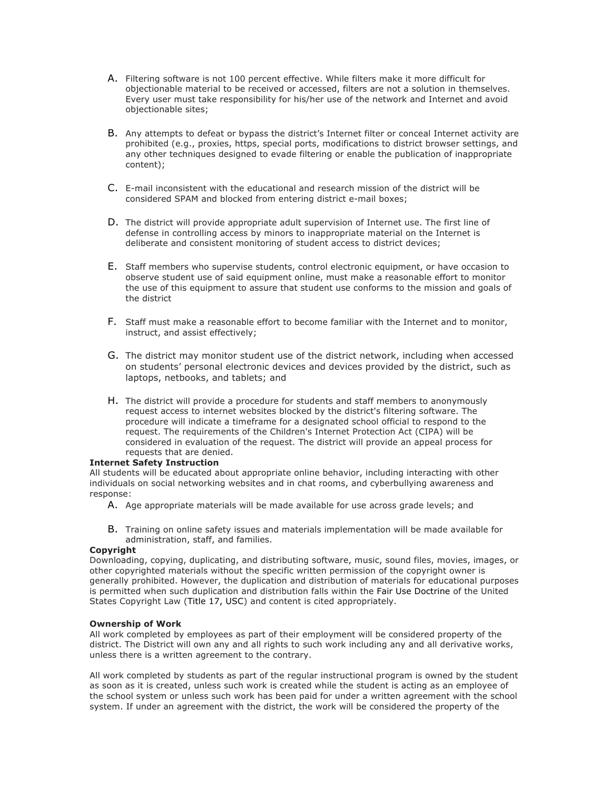- A. Filtering software is not 100 percent effective. While filters make it more difficult for objectionable material to be received or accessed, filters are not a solution in themselves. Every user must take responsibility for his/her use of the network and Internet and avoid objectionable sites;
- B. Any attempts to defeat or bypass the district's Internet filter or conceal Internet activity are prohibited (e.g., proxies, https, special ports, modifications to district browser settings, and any other techniques designed to evade filtering or enable the publication of inappropriate content);
- C. E-mail inconsistent with the educational and research mission of the district will be considered SPAM and blocked from entering district e-mail boxes;
- D. The district will provide appropriate adult supervision of Internet use. The first line of defense in controlling access by minors to inappropriate material on the Internet is deliberate and consistent monitoring of student access to district devices;
- E. Staff members who supervise students, control electronic equipment, or have occasion to observe student use of said equipment online, must make a reasonable effort to monitor the use of this equipment to assure that student use conforms to the mission and goals of the district
- F. Staff must make a reasonable effort to become familiar with the Internet and to monitor, instruct, and assist effectively;
- G. The district may monitor student use of the district network, including when accessed on students' personal electronic devices and devices provided by the district, such as laptops, netbooks, and tablets; and
- H. The district will provide a procedure for students and staff members to anonymously request access to internet websites blocked by the district's filtering software. The procedure will indicate a timeframe for a designated school official to respond to the request. The requirements of the Children's Internet Protection Act (CIPA) will be considered in evaluation of the request. The district will provide an appeal process for requests that are denied.

## **Internet Safety Instruction**

All students will be educated about appropriate online behavior, including interacting with other individuals on social networking websites and in chat rooms, and cyberbullying awareness and response:

- A. Age appropriate materials will be made available for use across grade levels; and
- B. Training on online safety issues and materials implementation will be made available for administration, staff, and families.

## **Copyright**

Downloading, copying, duplicating, and distributing software, music, sound files, movies, images, or other copyrighted materials without the specific written permission of the copyright owner is generally prohibited. However, the duplication and distribution of materials for educational purposes is permitted when such duplication and distribution falls within the Fair Use Doctrine of the United States Copyright Law (Title 17, USC) and content is cited appropriately.

## **Ownership of Work**

All work completed by employees as part of their employment will be considered property of the district. The District will own any and all rights to such work including any and all derivative works, unless there is a written agreement to the contrary.

All work completed by students as part of the regular instructional program is owned by the student as soon as it is created, unless such work is created while the student is acting as an employee of the school system or unless such work has been paid for under a written agreement with the school system. If under an agreement with the district, the work will be considered the property of the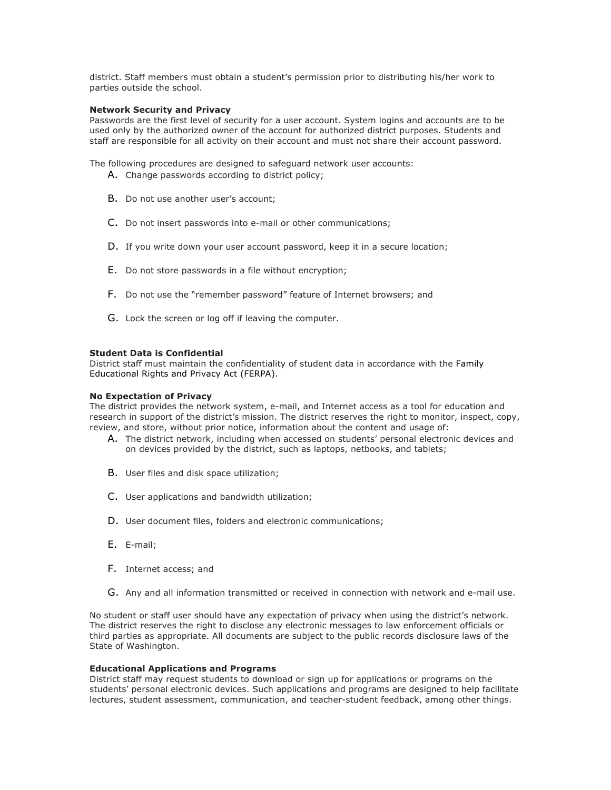district. Staff members must obtain a student's permission prior to distributing his/her work to parties outside the school.

#### **Network Security and Privacy**

Passwords are the first level of security for a user account. System logins and accounts are to be used only by the authorized owner of the account for authorized district purposes. Students and staff are responsible for all activity on their account and must not share their account password.

The following procedures are designed to safeguard network user accounts:

- A. Change passwords according to district policy:
- B. Do not use another user's account;
- C. Do not insert passwords into e-mail or other communications;
- D. If you write down your user account password, keep it in a secure location;
- E. Do not store passwords in a file without encryption;
- F. Do not use the "remember password" feature of Internet browsers; and
- G. Lock the screen or log off if leaving the computer.

#### **Student Data is Confidential**

District staff must maintain the confidentiality of student data in accordance with the Family Educational Rights and Privacy Act (FERPA).

#### **No Expectation of Privacy**

The district provides the network system, e-mail, and Internet access as a tool for education and research in support of the district's mission. The district reserves the right to monitor, inspect, copy, review, and store, without prior notice, information about the content and usage of:

- A. The district network, including when accessed on students' personal electronic devices and on devices provided by the district, such as laptops, netbooks, and tablets;
- B. User files and disk space utilization;
- C. User applications and bandwidth utilization;
- D. User document files, folders and electronic communications;
- E. E-mail;
- F. Internet access; and
- G. Any and all information transmitted or received in connection with network and e-mail use.

No student or staff user should have any expectation of privacy when using the district's network. The district reserves the right to disclose any electronic messages to law enforcement officials or third parties as appropriate. All documents are subject to the public records disclosure laws of the State of Washington.

#### **Educational Applications and Programs**

District staff may request students to download or sign up for applications or programs on the students' personal electronic devices. Such applications and programs are designed to help facilitate lectures, student assessment, communication, and teacher-student feedback, among other things.